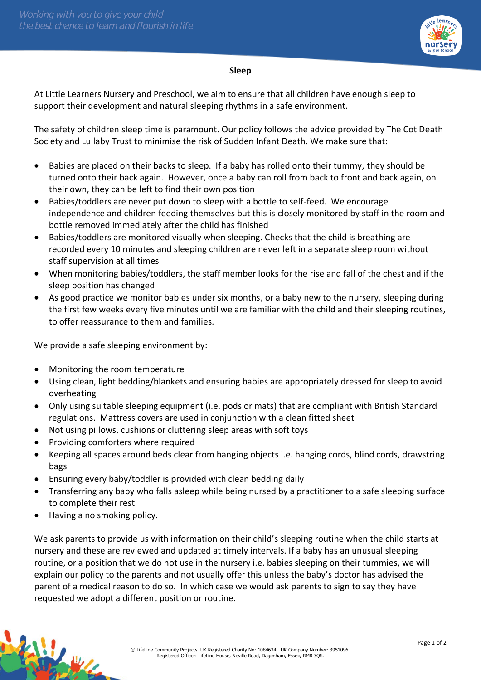

## **Sleep**

At Little Learners Nursery and Preschool, we aim to ensure that all children have enough sleep to support their development and natural sleeping rhythms in a safe environment.

The safety of children sleep time is paramount. Our policy follows the advice provided by The Cot Death Society and Lullaby Trust to minimise the risk of Sudden Infant Death. We make sure that:

- Babies are placed on their backs to sleep. If a baby has rolled onto their tummy, they should be turned onto their back again. However, once a baby can roll from back to front and back again, on their own, they can be left to find their own position
- Babies/toddlers are never put down to sleep with a bottle to self-feed. We encourage independence and children feeding themselves but this is closely monitored by staff in the room and bottle removed immediately after the child has finished
- Babies/toddlers are monitored visually when sleeping. Checks that the child is breathing are recorded every 10 minutes and sleeping children are never left in a separate sleep room without staff supervision at all times
- When monitoring babies/toddlers, the staff member looks for the rise and fall of the chest and if the sleep position has changed
- As good practice we monitor babies under six months, or a baby new to the nursery, sleeping during the first few weeks every five minutes until we are familiar with the child and their sleeping routines, to offer reassurance to them and families.

We provide a safe sleeping environment by:

- Monitoring the room temperature
- Using clean, light bedding/blankets and ensuring babies are appropriately dressed for sleep to avoid overheating
- Only using suitable sleeping equipment (i.e. pods or mats) that are compliant with British Standard regulations. Mattress covers are used in conjunction with a clean fitted sheet
- Not using pillows, cushions or cluttering sleep areas with soft toys
- Providing comforters where required
- Keeping all spaces around beds clear from hanging objects i.e. hanging cords, blind cords, drawstring bags
- Ensuring every baby/toddler is provided with clean bedding daily
- Transferring any baby who falls asleep while being nursed by a practitioner to a safe sleeping surface to complete their rest
- Having a no smoking policy.

We ask parents to provide us with information on their child's sleeping routine when the child starts at nursery and these are reviewed and updated at timely intervals. If a baby has an unusual sleeping routine, or a position that we do not use in the nursery i.e. babies sleeping on their tummies, we will explain our policy to the parents and not usually offer this unless the baby's doctor has advised the parent of a medical reason to do so. In which case we would ask parents to sign to say they have requested we adopt a different position or routine.